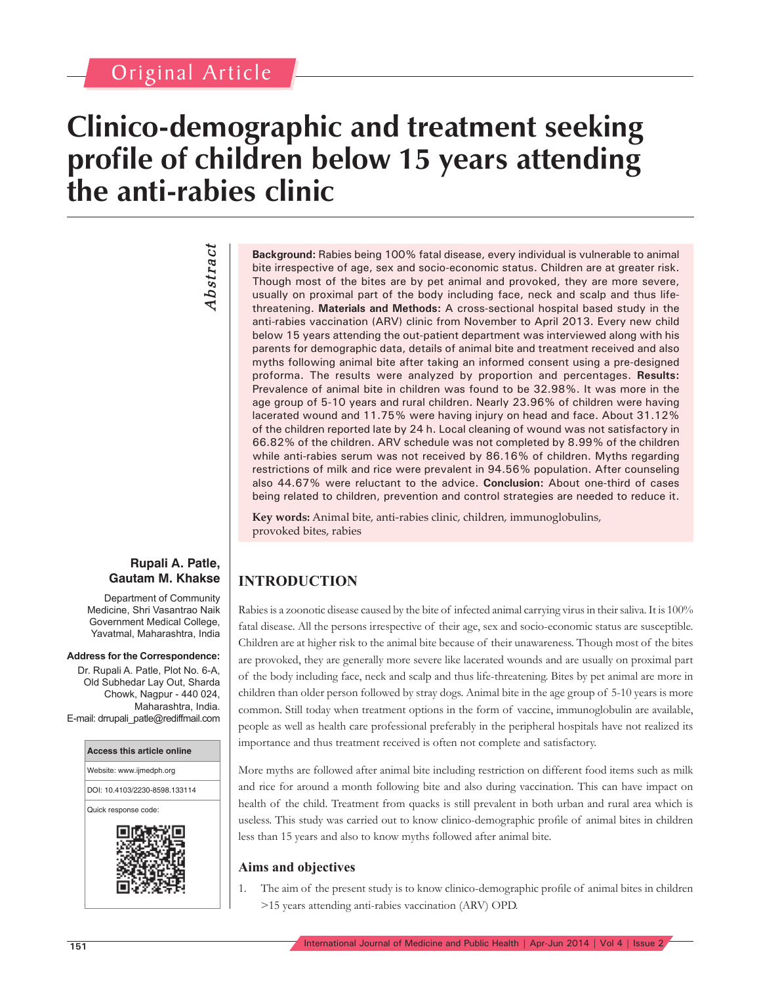## Original Article

# **Clinico-demographic and treatment seeking profile of children below 15 years attending the anti-rabies clinic**

**Abstract** *Abstract*

**Background:** Rabies being 100% fatal disease, every individual is vulnerable to animal bite irrespective of age, sex and socio-economic status. Children are at greater risk. Though most of the bites are by pet animal and provoked, they are more severe, usually on proximal part of the body including face, neck and scalp and thus lifethreatening. **Materials and Methods:** A cross-sectional hospital based study in the anti-rabies vaccination (ARV) clinic from November to April 2013. Every new child below 15 years attending the out-patient department was interviewed along with his parents for demographic data, details of animal bite and treatment received and also myths following animal bite after taking an informed consent using a pre-designed proforma. The results were analyzed by proportion and percentages. **Results:** Prevalence of animal bite in children was found to be 32.98%. It was more in the age group of 5-10 years and rural children. Nearly 23.96% of children were having lacerated wound and 11.75% were having injury on head and face. About 31.12% of the children reported late by 24 h. Local cleaning of wound was not satisfactory in 66.82% of the children. ARV schedule was not completed by 8.99% of the children while anti-rabies serum was not received by 86.16% of children. Myths regarding restrictions of milk and rice were prevalent in 94.56% population. After counseling also 44.67% were reluctant to the advice. **Conclusion:** About one-third of cases being related to children, prevention and control strategies are needed to reduce it.

**Key words:** Animal bite, anti-rabies clinic, children, immunoglobulins, provoked bites, rabies

### **INTRODUCTION**

Rabies is a zoonotic disease caused by the bite of infected animal carrying virus in their saliva. It is 100% fatal disease. All the persons irrespective of their age, sex and socio-economic status are susceptible. Children are at higher risk to the animal bite because of their unawareness. Though most of the bites are provoked, they are generally more severe like lacerated wounds and are usually on proximal part of the body including face, neck and scalp and thus life-threatening. Bites by pet animal are more in children than older person followed by stray dogs. Animal bite in the age group of 5-10 years is more common. Still today when treatment options in the form of vaccine, immunoglobulin are available, people as well as health care professional preferably in the peripheral hospitals have not realized its importance and thus treatment received is often not complete and satisfactory.

More myths are followed after animal bite including restriction on different food items such as milk and rice for around a month following bite and also during vaccination. This can have impact on health of the child. Treatment from quacks is still prevalent in both urban and rural area which is useless. This study was carried out to know clinico-demographic profile of animal bites in children less than 15 years and also to know myths followed after animal bite.

### **Aims and objectives**

The aim of the present study is to know clinico-demographic profile of animal bites in children >15 years attending anti-rabies vaccination (ARV) OPD.

### **Rupali A. Patle, Gautam M. Khakse**

Department of Community Medicine, Shri Vasantrao Naik Government Medical College, Yavatmal, Maharashtra, India

#### **Address for the Correspondence:**

Dr. Rupali A. Patle, Plot No. 6-A, Old Subhedar Lay Out, Sharda Chowk, Nagpur - 440 024, Maharashtra, India. E-mail: drrupali\_patle@rediffmail.com

| <b>Access this article online</b> |
|-----------------------------------|
| Website: www.ijmedph.org          |
| DOI: 10.4103/2230-8598.133114     |
| Quick response code:              |
| ▣                                 |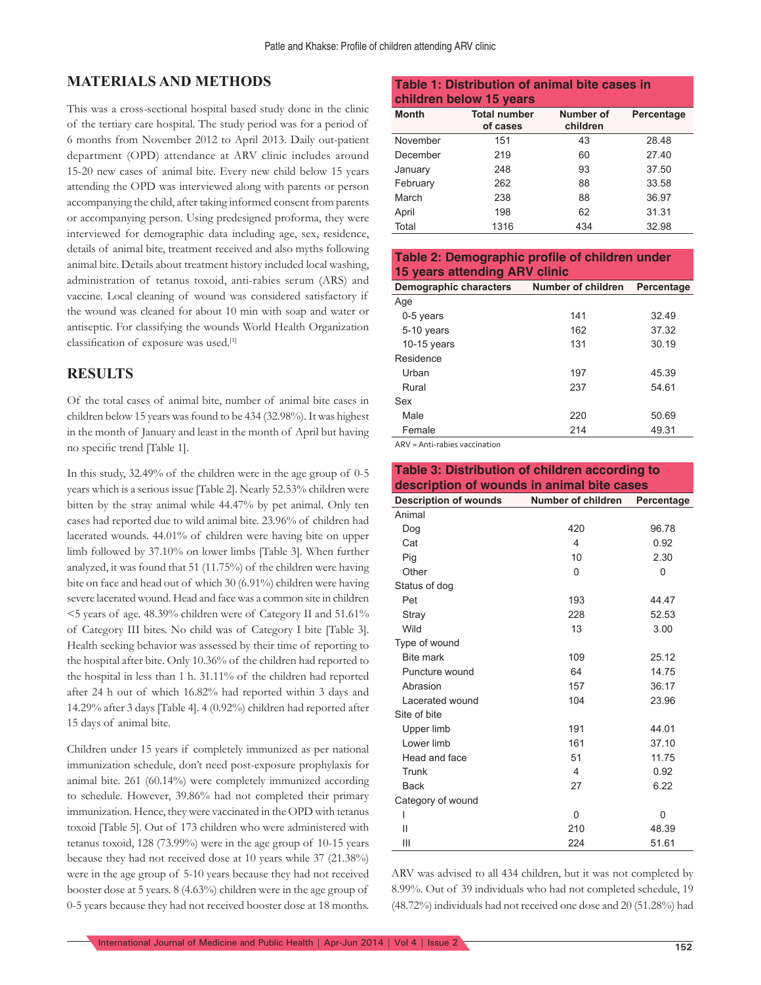### **MATERIALS AND METHODS**

This was a cross-sectional hospital based study done in the clinic of the tertiary care hospital. The study period was for a period of 6 months from November 2012 to April 2013. Daily out-patient department (OPD) attendance at ARV clinic includes around 15-20 new cases of animal bite. Every new child below 15 years attending the OPD was interviewed along with parents or person accompanying the child, after taking informed consent from parents or accompanying person. Using predesigned proforma, they were interviewed for demographic data including age, sex, residence, details of animal bite, treatment received and also myths following animal bite. Details about treatment history included local washing, administration of tetanus toxoid, anti-rabies serum (ARS) and vaccine. Local cleaning of wound was considered satisfactory if the wound was cleaned for about 10 min with soap and water or antiseptic. For classifying the wounds World Health Organization classification of exposure was used.[1]

### **RESULTS**

Of the total cases of animal bite, number of animal bite cases in children below 15 years was found to be 434 (32.98%). It was highest in the month of January and least in the month of April but having no specific trend [Table 1].

In this study, 32.49% of the children were in the age group of 0-5 years which is a serious issue [Table 2]. Nearly 52.53% children were bitten by the stray animal while 44.47% by pet animal. Only ten cases had reported due to wild animal bite. 23.96% of children had lacerated wounds. 44.01% of children were having bite on upper limb followed by 37.10% on lower limbs [Table 3]. When further analyzed, it was found that 51 (11.75%) of the children were having bite on face and head out of which 30 (6.91%) children were having severe lacerated wound. Head and face was a common site in children <5 years of age. 48.39% children were of Category II and 51.61% of Category III bites. No child was of Category I bite [Table 3]. Health seeking behavior was assessed by their time of reporting to the hospital after bite. Only 10.36% of the children had reported to the hospital in less than 1 h. 31.11% of the children had reported after 24 h out of which 16.82% had reported within 3 days and 14.29% after 3 days [Table 4]. 4 (0.92%) children had reported after 15 days of animal bite.

Children under 15 years if completely immunized as per national immunization schedule, don't need post-exposure prophylaxis for animal bite. 261 (60.14%) were completely immunized according to schedule. However, 39.86% had not completed their primary immunization. Hence, they were vaccinated in the OPD with tetanus toxoid [Table 5]. Out of 173 children who were administered with tetanus toxoid, 128 (73.99%) were in the age group of 10-15 years because they had not received dose at 10 years while 37 (21.38%) were in the age group of 5-10 years because they had not received booster dose at 5 years. 8 (4.63%) children were in the age group of 0-5 years because they had not received booster dose at 18 months.

### **Table 1: Distribution of animal bite cases in children below 15 years**

| <b>Month</b> | <b>Total number</b><br>of cases | Number of<br>children | Percentage |
|--------------|---------------------------------|-----------------------|------------|
| November     | 151                             | 43                    | 28.48      |
| December     | 219                             | 60                    | 27.40      |
| January      | 248                             | 93                    | 37.50      |
| February     | 262                             | 88                    | 33.58      |
| March        | 238                             | 88                    | 36.97      |
| April        | 198                             | 62                    | 31.31      |
| Total        | 1316                            | 434                   | 32.98      |

### **Table 2: Demographic profile of children under 15 years attending ARV clinic**

| Demographic characters | Number of children | Percentage |
|------------------------|--------------------|------------|
| Age                    |                    |            |
| 0-5 years              | 141                | 32.49      |
| 5-10 years             | 162                | 37.32      |
| 10-15 years            | 131                | 30.19      |
| Residence              |                    |            |
| Urban                  | 197                | 45.39      |
| Rural                  | 237                | 54.61      |
| Sex                    |                    |            |
| Male                   | 220                | 50.69      |
| Female                 | 214                | 49.31      |

ARV = Anti-rabies vaccination

| Table 3: Distribution of children according to |                         |            |  |
|------------------------------------------------|-------------------------|------------|--|
| description of wounds in animal bite cases     |                         |            |  |
| <b>Description of wounds</b>                   | Number of children      | Percentage |  |
| Animal                                         |                         |            |  |
| Dog                                            | 420                     | 96.78      |  |
| Cat                                            | $\overline{\mathbf{A}}$ | 0.92       |  |
| Pig                                            | 10                      | 2.30       |  |
| Other                                          | $\Omega$                | 0          |  |
| Status of dog                                  |                         |            |  |
| Pet                                            | 193                     | 44.47      |  |
| Stray                                          | 228                     | 52.53      |  |
| Wild                                           | 13                      | 3.00       |  |
| Type of wound                                  |                         |            |  |
| <b>Bite mark</b>                               | 109                     | 25.12      |  |
| Puncture wound                                 | 64                      | 14.75      |  |
| Abrasion                                       | 157                     | 36.17      |  |
| Lacerated wound                                | 104                     | 23.96      |  |
| Site of bite                                   |                         |            |  |
| Upper limb                                     | 191                     | 44.01      |  |
| Lower limb                                     | 161                     | 37.10      |  |
| Head and face                                  | 51                      | 11.75      |  |
| Trunk                                          | 4                       | 0.92       |  |
| <b>Back</b>                                    | 27                      | 6.22       |  |
| Category of wound                              |                         |            |  |
| L                                              | $\Omega$                | 0          |  |
| Ш                                              | 210                     | 48.39      |  |
| Ш                                              | 224                     | 51.61      |  |

ARV was advised to all 434 children, but it was not completed by 8.99%. Out of 39 individuals who had not completed schedule, 19 (48.72%) individuals had not received one dose and 20 (51.28%) had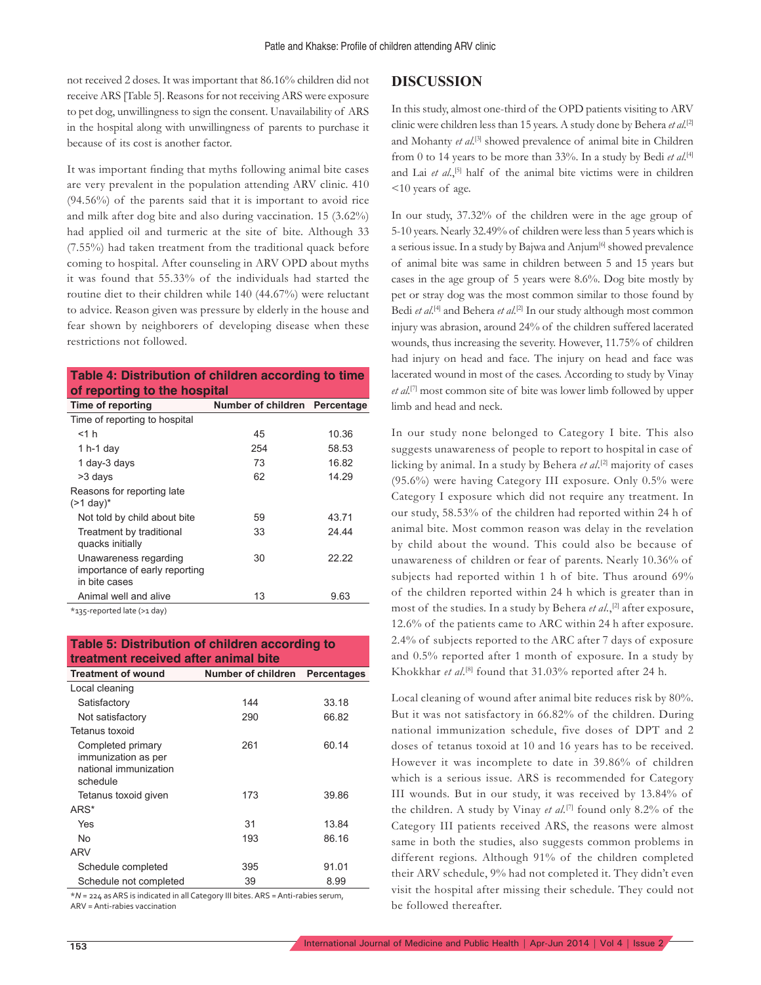not received 2 doses. It was important that 86.16% children did not receive ARS [Table 5]. Reasons for not receiving ARS were exposure to pet dog, unwillingness to sign the consent. Unavailability of ARS in the hospital along with unwillingness of parents to purchase it because of its cost is another factor.

It was important finding that myths following animal bite cases are very prevalent in the population attending ARV clinic. 410 (94.56%) of the parents said that it is important to avoid rice and milk after dog bite and also during vaccination. 15 (3.62%) had applied oil and turmeric at the site of bite. Although 33 (7.55%) had taken treatment from the traditional quack before coming to hospital. After counseling in ARV OPD about myths it was found that 55.33% of the individuals had started the routine diet to their children while 140 (44.67%) were reluctant to advice. Reason given was pressure by elderly in the house and fear shown by neighborers of developing disease when these restrictions not followed.

### **Table 4: Distribution of children according to time of reporting to the hospital**

| Time of reporting                                                       | Number of children Percentage |       |
|-------------------------------------------------------------------------|-------------------------------|-------|
| Time of reporting to hospital                                           |                               |       |
| $<$ 1 $h$                                                               | 45                            | 10.36 |
| 1 $h-1$ day                                                             | 254                           | 58.53 |
| 1 day-3 days                                                            | 73                            | 16.82 |
| >3 days                                                                 | 62                            | 14.29 |
| Reasons for reporting late<br>$(>1$ day) <sup>*</sup>                   |                               |       |
| Not told by child about bite                                            | 59                            | 43.71 |
| Treatment by traditional<br>quacks initially                            | 33                            | 24.44 |
| Unawareness regarding<br>importance of early reporting<br>in bite cases | 30                            | 22.22 |
| Animal well and alive                                                   | 13                            | 9.63  |

\*135-reported late (>1 day)

| Table 5: Distribution of children according to |  |
|------------------------------------------------|--|
| treatment received after animal bite           |  |

| <b>Treatment of wound</b>                                                     | Number of children | <b>Percentages</b> |
|-------------------------------------------------------------------------------|--------------------|--------------------|
| Local cleaning                                                                |                    |                    |
| Satisfactory                                                                  | 144                | 33.18              |
| Not satisfactory                                                              | 290                | 66.82              |
| Tetanus toxoid                                                                |                    |                    |
| Completed primary<br>immunization as per<br>national immunization<br>schedule | 261                | 60.14              |
| Tetanus toxoid given                                                          | 173                | 39.86              |
| ARS*                                                                          |                    |                    |
| Yes                                                                           | 31                 | 13.84              |
| No                                                                            | 193                | 86.16              |
| ARV                                                                           |                    |                    |
| Schedule completed                                                            | 395                | 91.01              |
| Schedule not completed                                                        | 39                 | 8.99               |

\**N* = 224 as ARS is indicated in all Category III bites. ARS = Anti-rabies serum, ARV = Anti-rabies vaccination

### **DISCUSSION**

In this study, almost one-third of the OPD patients visiting to ARV clinic were children less than 15 years. A study done by Behera *et al.*[2] and Mohanty *et al*. [3] showed prevalence of animal bite in Children from 0 to 14 years to be more than 33%. In a study by Bedi *et al*. [4] and Lai *et al*.,<sup>[5]</sup> half of the animal bite victims were in children <10 years of age.

In our study, 37.32% of the children were in the age group of 5-10 years. Nearly 32.49% of children were less than 5 years which is a serious issue. In a study by Bajwa and Anjum<sup>[6]</sup> showed prevalence of animal bite was same in children between 5 and 15 years but cases in the age group of 5 years were 8.6%. Dog bite mostly by pet or stray dog was the most common similar to those found by Bedi *et al*. [4] and Behera *et al*. [2] In our study although most common injury was abrasion, around 24% of the children suffered lacerated wounds, thus increasing the severity. However, 11.75% of children had injury on head and face. The injury on head and face was lacerated wound in most of the cases. According to study by Vinay *et al.*[7] most common site of bite was lower limb followed by upper limb and head and neck.

In our study none belonged to Category I bite. This also suggests unawareness of people to report to hospital in case of licking by animal. In a study by Behera *et al*. [2] majority of cases (95.6%) were having Category III exposure. Only 0.5% were Category I exposure which did not require any treatment. In our study, 58.53% of the children had reported within 24 h of animal bite. Most common reason was delay in the revelation by child about the wound. This could also be because of unawareness of children or fear of parents. Nearly 10.36% of subjects had reported within 1 h of bite. Thus around 69% of the children reported within 24 h which is greater than in most of the studies. In a study by Behera *et al.*,<sup>[2]</sup> after exposure, 12.6% of the patients came to ARC within 24 h after exposure. 2.4% of subjects reported to the ARC after 7 days of exposure and 0.5% reported after 1 month of exposure. In a study by Khokkhar *et al*. [8] found that 31.03% reported after 24 h.

Local cleaning of wound after animal bite reduces risk by 80%. But it was not satisfactory in 66.82% of the children. During national immunization schedule, five doses of DPT and 2 doses of tetanus toxoid at 10 and 16 years has to be received. However it was incomplete to date in 39.86% of children which is a serious issue. ARS is recommended for Category III wounds. But in our study, it was received by 13.84% of the children. A study by Vinay *et al.*[7] found only 8.2% of the Category III patients received ARS, the reasons were almost same in both the studies, also suggests common problems in different regions. Although 91% of the children completed their ARV schedule, 9% had not completed it. They didn't even visit the hospital after missing their schedule. They could not be followed thereafter.